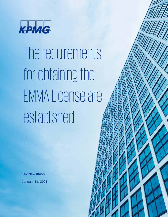

The requirements for obtaining the EMMA License are established

© 2020 KPMG, una sociedad civil panameña y firma de la red de firmas miembro independientes de KPMG, afiliadas a KPMG International

**Tax Newsflash**

January 11, 2021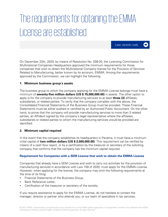# The requirements for obtaining the EMMA License are established

On December 23th, 2020, by means of Resolution No. 039-20, the Licensing Commission for Multinational Companies Headquarters approved the minimum requirements for those companies that wish to obtain the Multinational Company license for the Provision of Services Related to Manufacturing, better known by its acronym, EMMA. Among the requirements approved by the Commission, we can highlight the following:

Leer [versión web](https://home.kpmg/pa/es/home/insights/2021/01/ci-establecen-requisitos-licencia-emma) 

 $\blacktriangleright$ 

#### **1. Minimum business group´s assets**

The business group to which the company applying for the EMMA License belongs must have a minimum of **seventy-five million dollars (US \$ 75,000,000.00)** in assets. The other option to apply is for the company to provide manufacturing services to at least **three (3)** affiliates, subsidiaries, or related parties. To verify that the company complies with the above, the Consolidated Financial Statements of the Business Group must be provided. These Financial Statements must be either audited or certified by an Authorized Public Accountant. On the other hand, to prove that the company will provide manufacturing services to more than 3 related parties, an Affidavit signed by the company´s legal representative where the affiliates, subsidiaries or related parties to whom the manufacturing services would be provided are identified.

#### **2. Minimum capital required**

In the event that the company establishes its headquarters in Panama, it must have a minimum initial capital of **two million dollars (US \$ 2,000,000.00)**. This requirement can be verified by means of a cash flow report, or by a certification by the treasurer or secretary of the soliciting company that confirms that the company has the minimum capital required.

#### **Requirement for Companies with a SEM License that wish to obtain the EMMA License**

Companies that already have a SEM License and wish to carry out activities for the provision of manufacturing services in accordance with Law 159 of 2020, must apply for the EMMA License. However, when applying for the license, the company may omit the following requirements at the time of its filing:

- Financial Statements of the Business Group;
- Bank Reference Letter:
- Certification of the treasurer or secretary of the society;

If you require assistance to apply for the EMMA License, do not hesitate to contact the manager, director or partner who attends you, or our team of specialists in tax services.